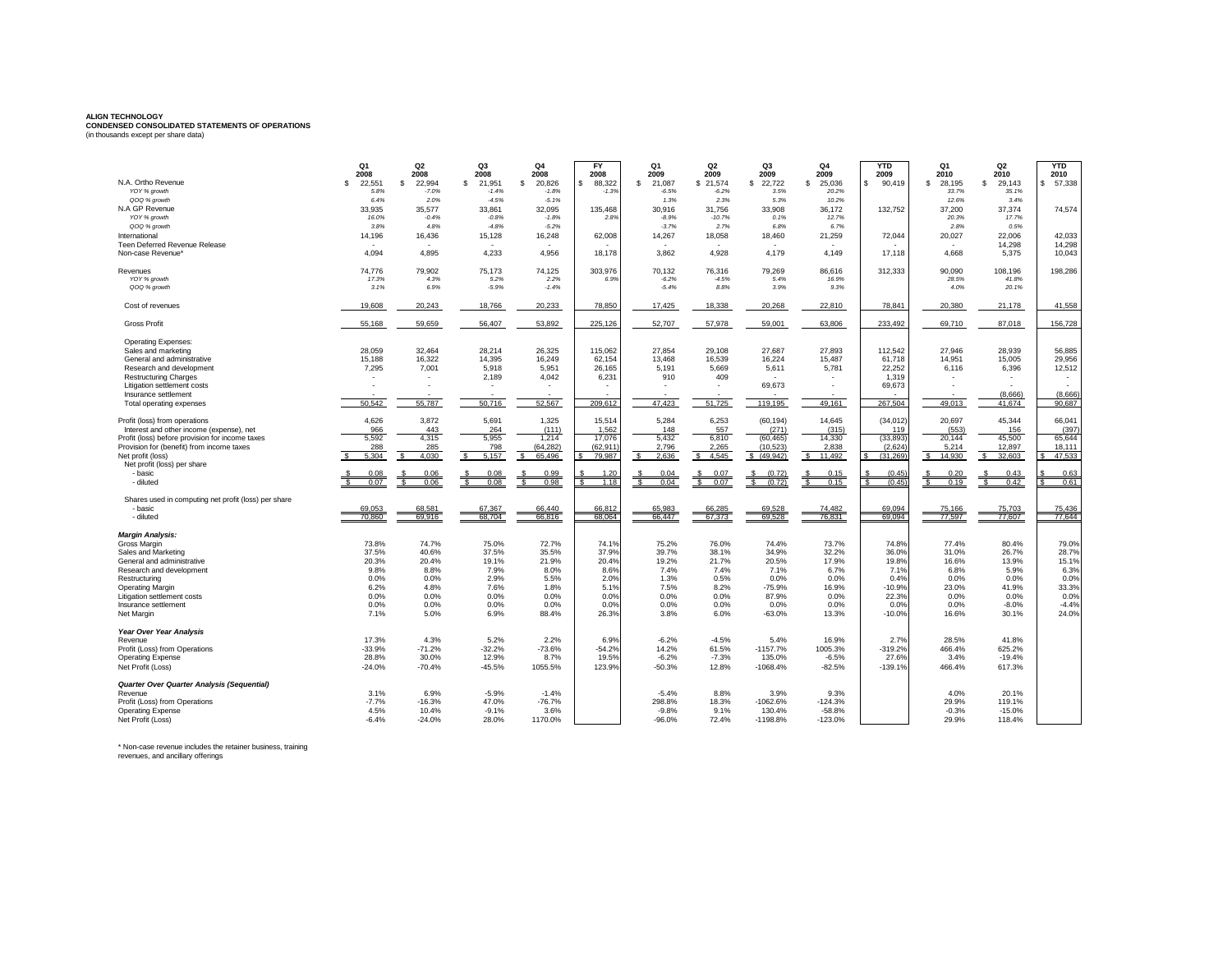## **ALIGN TECHNOLOGY CONDENSED CONSOLIDATED STATEMENTS OF OPERATIONS** (in thousands except per share data)

| N.A. Ortho Revenue                                     | Q <sub>1</sub><br>2008<br>22.551<br>S | Q2<br>2008<br>22.994<br>s. | Q3<br>2008<br>21.951<br>s. | Q <sub>4</sub><br>2008<br>20,826<br>-S | <b>FY</b><br>2008<br>88,322 | Q <sub>1</sub><br>2009<br>\$<br>21.087 | Q2<br>2009<br>\$21.574 | Q <sub>3</sub><br>2009<br>\$<br>22,722 | Q4<br>2009<br>25.036<br>s | <b>YTD</b><br>2009<br>90,419 | Q1<br>2010<br>28.195<br>s. | Q <sub>2</sub><br>2010<br>29.143<br>S. | <b>YTD</b><br>2010<br>57,338 |
|--------------------------------------------------------|---------------------------------------|----------------------------|----------------------------|----------------------------------------|-----------------------------|----------------------------------------|------------------------|----------------------------------------|---------------------------|------------------------------|----------------------------|----------------------------------------|------------------------------|
| YOY % growth                                           | 5.8%                                  | $-7.0%$                    | $-1.4%$                    | $-1.8%$                                | $-1.3%$                     | $-6.5%$                                | $-6.2%$                | 3.5%                                   | 20.2%                     |                              | 33.7%                      | 35.1%                                  |                              |
| QOQ % growth                                           | 6.4%                                  | 2.0%                       | $-4.5%$                    | $-5.1%$                                |                             | 1.3%                                   | 2.3%                   | 5.3%                                   | 10.2%                     |                              | 12.6%                      | 3.4%                                   |                              |
| N.A GP Revenue                                         | 33,935                                | 35,577                     | 33,861                     | 32,095                                 | 135,468                     | 30,916                                 | 31,756                 | 33,908                                 | 36,172                    | 132,752                      | 37,200                     | 37,374                                 | 74,574                       |
| YOY % growth                                           | 16.0%                                 | $-0.4%$                    | $-0.8%$                    | $-1.8%$                                | 2.8%                        | $-8.9%$                                | $-10.7%$               | 0.1%                                   | 12.7%                     |                              | 20.3%                      | 17.7%                                  |                              |
| QOQ % growth                                           | 3.8%                                  | 4.8%                       | $-4.8%$                    | $-5.2%$                                |                             | $-3.7%$                                | 2.7%                   | 6.8%                                   | 6.7%                      |                              | 2.8%                       | 0.5%                                   |                              |
| International                                          | 14,196                                | 16,436                     | 15,128                     | 16,248                                 | 62,008                      | 14,267                                 | 18,058                 | 18,460                                 | 21,259                    | 72,044                       | 20,027                     | 22,006                                 | 42,033                       |
| Teen Deferred Revenue Release                          |                                       |                            |                            |                                        |                             |                                        |                        |                                        |                           |                              |                            | 14,298                                 | 14,298                       |
| Non-case Revenue'                                      | 4,094                                 | 4,895                      | 4,233                      | 4,956                                  | 18,178                      | 3,862                                  | 4,928                  | 4,179                                  | 4,149                     | 17,118                       | 4,668                      | 5,375                                  | 10,043                       |
|                                                        |                                       |                            |                            |                                        |                             |                                        |                        |                                        |                           |                              |                            |                                        |                              |
| Revenues                                               | 74,776                                | 79,902                     | 75,173                     | 74,125                                 | 303,976                     | 70,132                                 | 76,316                 | 79,269                                 | 86,616                    | 312,333                      | 90,090                     | 108,196                                | 198,286                      |
| YOY % growth                                           | 17.3%                                 | 4.3%                       | 5.2%                       | 2.2%                                   | 6.9%                        | $-6.2%$                                | $-4.5%$                | 5.4%                                   | 16.9%                     |                              | 28.5%                      | 41.8%                                  |                              |
| QOQ % growth                                           | 3.1%                                  | 6.9%                       | $-5.9%$                    | $-1.4%$                                |                             | $-5.4%$                                | 8.8%                   | 3.9%                                   | 9.3%                      |                              | 4.0%                       | 20.1%                                  |                              |
|                                                        |                                       |                            |                            |                                        |                             |                                        |                        |                                        |                           |                              |                            |                                        |                              |
| Cost of revenues                                       | 19,608                                | 20,243                     | 18,766                     | 20,233                                 | 78,850                      | 17,425                                 | 18,338                 | 20,268                                 | 22,810                    | 78,841                       | 20,380                     | 21,178                                 | 41,558                       |
|                                                        |                                       |                            |                            |                                        |                             |                                        |                        |                                        |                           |                              |                            |                                        |                              |
| <b>Gross Profit</b>                                    | 55,168                                | 59,659                     | 56,407                     | 53,892                                 | 225,126                     | 52,707                                 | 57,978                 | 59,001                                 | 63,806                    | 233,492                      | 69,710                     | 87,018                                 | 156,728                      |
|                                                        |                                       |                            |                            |                                        |                             |                                        |                        |                                        |                           |                              |                            |                                        |                              |
| <b>Operating Expenses:</b>                             |                                       |                            |                            |                                        |                             |                                        |                        |                                        |                           |                              |                            |                                        |                              |
| Sales and marketing                                    | 28,059                                | 32,464                     | 28,214                     | 26.325                                 | 115,062                     | 27.854                                 | 29.108                 | 27,687                                 | 27,893                    | 112,542                      | 27.946                     | 28,939                                 | 56,885                       |
| General and administrative                             | 15,188                                | 16,322                     | 14,395                     | 16,249                                 | 62,154                      | 13,468                                 | 16,539                 | 16,224                                 | 15,487                    | 61,718                       | 14,951                     | 15,005                                 | 29,956                       |
| Research and development                               | 7,295                                 | 7,001                      | 5,918                      | 5,951                                  | 26,165                      | 5,191                                  | 5,669                  | 5,611                                  | 5,781                     | 22,252                       | 6,116                      | 6,396                                  | 12,512                       |
| <b>Restructuring Charges</b>                           |                                       |                            | 2,189                      | 4,042                                  | 6,231                       | 910                                    | 409                    |                                        |                           | 1,319                        |                            |                                        |                              |
| Litigation settlement costs                            |                                       |                            |                            |                                        |                             |                                        |                        | 69,673                                 |                           | 69,673                       |                            |                                        |                              |
| Insurance settlement                                   |                                       |                            |                            |                                        |                             |                                        |                        |                                        |                           |                              |                            | (8.666)                                | (8,666)                      |
| Total operating expenses                               | 50.542                                | 55,787                     | 50.716                     | 52,567                                 | 209.612                     | 47.423                                 | 51.725                 | 119,195                                | 49.161                    | 267.504                      | 49.013                     | 41.674                                 | 90.687                       |
| Profit (loss) from operations                          | 4,626                                 | 3,872                      | 5,691                      | 1.325                                  | 15,514                      | 5,284                                  | 6.253                  | (60, 194)                              | 14.645                    | (34, 012)                    | 20,697                     | 45.344                                 | 66,041                       |
| Interest and other income (expense), net               | 966                                   | 443                        | 264                        | (111)                                  | 1,562                       | 148                                    | 557                    | (271)                                  | (315)                     | 119                          | (553)                      | 156                                    | (397)                        |
| Profit (loss) before provision for income taxes        | 5,592                                 | 4,315                      | 5.955                      | 1.214                                  | 17,076                      | 5.432                                  | 6,810                  | (60, 465)                              | 14,330                    | (33, 893)                    | 20.144                     | 45,500                                 | 65.644                       |
| Provision for (benefit) from income taxes              | 288                                   | 285                        | 798                        | (64, 282)                              | (62,911                     | 2.796                                  | 2,265                  | (10.523)                               | 2.838                     | (2,624)                      | 5,214                      | 12,897                                 | 18.111                       |
| Net profit (loss)                                      | 5.304                                 | 4.030                      | 5.157                      | 65.496                                 | 79.987                      | 2.636<br>$\mathbf{R}$                  | 4.545<br>$\epsilon$    | \$(49.942)                             | 11.492                    | (31.269)                     | 14.930<br>$\mathbf{s}$     | 32.603                                 | 47.533                       |
| Net profit (loss) per share                            |                                       |                            |                            |                                        |                             |                                        |                        |                                        |                           |                              |                            |                                        |                              |
| - basic                                                | 0.08                                  | 0.06                       | 0.08                       | 0.99                                   | 120                         | 0.04                                   | 0.07                   | (0.72)                                 | 0.15                      | (0.45)                       | 0.20                       | 0.43                                   | 0.63                         |
| - diluted                                              | 0.07                                  | 0.06                       | 0.08                       | 0.98                                   | 1.18                        | 0.04                                   | 0.07                   | (0.72)                                 | 0.15                      | (0.45)                       | 0.19                       | 0.42                                   | 0.61                         |
|                                                        |                                       |                            |                            |                                        |                             |                                        |                        |                                        |                           |                              |                            |                                        |                              |
| Shares used in computing net profit (loss) per share   |                                       |                            |                            |                                        |                             |                                        |                        |                                        |                           |                              |                            |                                        |                              |
| - basic                                                | 69.053                                | 68.581                     | 67.367                     | 66.440                                 | 66.812                      | 65.983                                 | 66.285                 | 69.528                                 | 74.482                    | 69.094                       | 75.166                     | 75,703                                 | 75.436                       |
| - diluted                                              | 70.860                                | 69.916                     | 68.704                     | 66,816                                 | 68.064                      | 66.447                                 | 67.373                 | 69.528                                 | 76.831                    | 69.094                       | 77.597                     | 77,607                                 | 77.644                       |
|                                                        |                                       |                            |                            |                                        |                             |                                        |                        |                                        |                           |                              |                            |                                        |                              |
| <b>Margin Analysis:</b><br>Gross Margin                | 73.8%                                 | 74.7%                      | 75.0%                      | 72.7%                                  | 74.1 <sup>9</sup>           | 75.2%                                  | 76.0%                  | 74.4%                                  | 73.7%                     | 74.8%                        | 77.4%                      | 80.4%                                  | 79.0%                        |
| Sales and Marketing                                    | 37.5%                                 | 40.6%                      | 37.5%                      | 35.5%                                  | 37.9%                       | 39.7%                                  | 38.1%                  | 34.9%                                  | 32.2%                     | 36.0%                        | 31.0%                      | 26.7%                                  | 28.7%                        |
|                                                        |                                       | 20.4%                      | 19.1%                      | 21.9%                                  |                             | 19.2%                                  | 21.7%                  | 20.5%                                  |                           |                              | 16.6%                      |                                        |                              |
| General and administrative<br>Research and development | 20.3%<br>9.8%                         | 8.8%                       | 7.9%                       | 8.0%                                   | 20.4%<br>8.6%               | 7.4%                                   | 7.4%                   | 7.1%                                   | 17.9%<br>6.7%             | 19.8%<br>7.1%                | 6.8%                       | 13.9%<br>5.9%                          | 15.1%<br>6.3%                |
|                                                        |                                       | 0.0%                       | 2.9%                       |                                        |                             | 1.3%                                   |                        |                                        |                           |                              |                            |                                        |                              |
| Restructuring                                          | 0.0%                                  |                            |                            | 5.5%                                   | 2.0%                        |                                        | 0.5%                   | 0.0%                                   | 0.0%                      | 0.4%                         | 0.0%                       | 0.0%                                   | 0.0%                         |
| <b>Operating Margin</b>                                | 6.2%                                  | 4.8%                       | 7.6%                       | 1.8%                                   | 5.1%                        | 7.5%                                   | 8.2%                   | $-75.9%$                               | 16.9%                     | $-10.9%$                     | 23.0%                      | 41.9%                                  | 33.3%                        |
| Litigation settlement costs                            | 0.0%                                  | 0.0%                       | 0.0%                       | 0.0%                                   | 0.0%                        | 0.0%                                   | 0.0%                   | 87.9%                                  | 0.0%                      | 22.3%                        | 0.0%                       | 0.0%                                   | 0.0%                         |
| Insurance settlement                                   | 0.0%                                  | 0.0%                       | 0.0%                       | 0.0%                                   | 0.0%                        | 0.0%                                   | 0.0%                   | 0.0%                                   | 0.0%                      | 0.0%                         | 0.0%                       | $-8.0%$                                | $-4.4%$                      |
| Net Margin                                             | 7.1%                                  | 5.0%                       | 6.9%                       | 88.4%                                  | 26.3%                       | 3.8%                                   | 6.0%                   | $-63.0%$                               | 13.3%                     | $-10.0%$                     | 16.6%                      | 30.1%                                  | 24.0%                        |
| Year Over Year Analysis                                |                                       |                            |                            |                                        |                             |                                        |                        |                                        |                           |                              |                            |                                        |                              |
| Revenue                                                | 17.3%                                 | 4.3%                       | 5.2%                       | 2.2%                                   | 6.9%                        | $-6.2%$                                | $-4.5%$                | 5.4%                                   | 16.9%                     | 2.7%                         | 28.5%                      | 41.8%                                  |                              |
| Profit (Loss) from Operations                          | $-33.9%$                              | $-71.2%$                   | $-32.2%$                   | $-73.6%$                               | $-54.2%$                    | 14.2%                                  | 61.5%                  | $-1157.7%$                             | 1005.3%                   | $-319.2%$                    | 466.4%                     | 625.2%                                 |                              |
| <b>Operating Expense</b>                               | 28.8%                                 | 30.0%                      | 12.9%                      | 8.7%                                   | 19.5%                       | $-6.2%$                                | $-7.3%$                | 135.0%                                 | $-6.5%$                   | 27.6%                        | 3.4%                       | $-19.4%$                               |                              |
| Net Profit (Loss)                                      | $-24.0%$                              | $-70.4%$                   | $-45.5%$                   | 1055.5%                                | 123.9%                      | $-50.3%$                               | 12.8%                  | $-1068.4%$                             | $-82.5%$                  | $-139.1%$                    | 466.4%                     | 617.3%                                 |                              |
|                                                        |                                       |                            |                            |                                        |                             |                                        |                        |                                        |                           |                              |                            |                                        |                              |
| <b>Quarter Over Quarter Analysis (Sequential)</b>      |                                       |                            |                            |                                        |                             |                                        |                        |                                        |                           |                              |                            |                                        |                              |
| Revenue                                                | 3.1%                                  | 6.9%                       | $-5.9%$                    | $-1.4%$                                |                             | $-5.4%$                                | 8.8%                   | 3.9%                                   | 9.3%                      |                              | 4.0%                       | 20.1%                                  |                              |
| Profit (Loss) from Operations                          | $-7.7%$                               | $-16.3%$                   | 47.0%                      | $-76.7%$                               |                             | 298.8%                                 | 18.3%                  | $-1062.6%$                             | $-124.3%$                 |                              | 29.9%                      | 119.1%                                 |                              |
| <b>Operating Expense</b>                               | 4.5%                                  | 10.4%                      | $-9.1%$                    | 3.6%                                   |                             | $-9.8%$                                | 9.1%                   | 130.4%                                 | $-58.8%$                  |                              | $-0.3%$                    | $-15.0%$                               |                              |
| Net Profit (Loss)                                      | $-6.4%$                               | $-24.0%$                   | 28.0%                      | 1170.0%                                |                             | $-96.0%$                               | 72.4%                  | $-1198.8%$                             | $-123.0%$                 |                              | 29.9%                      | 118.4%                                 |                              |

\* Non-case revenue includes the retainer business, training revenues, and ancillary offerings